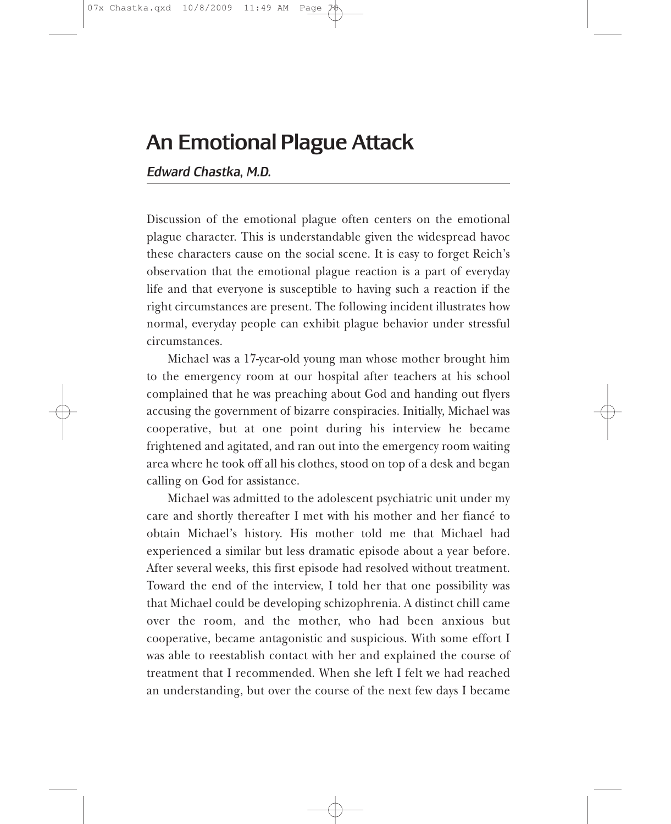## An Emotional Plague Attack

*Edward Chastka, M.D.*

Discussion of the emotional plague often centers on the emotional plague character. This is understandable given the widespread havoc these characters cause on the social scene. It is easy to forget Reich's observation that the emotional plague reaction is a part of everyday life and that everyone is susceptible to having such a reaction if the right circumstances are present. The following incident illustrates how normal, everyday people can exhibit plague behavior under stressful circumstances.

Michael was a 17-year-old young man whose mother brought him to the emergency room at our hospital after teachers at his school complained that he was preaching about God and handing out flyers accusing the government of bizarre conspiracies. Initially, Michael was cooperative, but at one point during his interview he became frightened and agitated, and ran out into the emergency room waiting area where he took off all his clothes, stood on top of a desk and began calling on God for assistance.

Michael was admitted to the adolescent psychiatric unit under my care and shortly thereafter I met with his mother and her fiancé to obtain Michael's history. His mother told me that Michael had experienced a similar but less dramatic episode about a year before. After several weeks, this first episode had resolved without treatment. Toward the end of the interview, I told her that one possibility was that Michael could be developing schizophrenia. A distinct chill came over the room, and the mother, who had been anxious but cooperative, became antagonistic and suspicious. With some effort I was able to reestablish contact with her and explained the course of treatment that I recommended. When she left I felt we had reached an understanding, but over the course of the next few days I became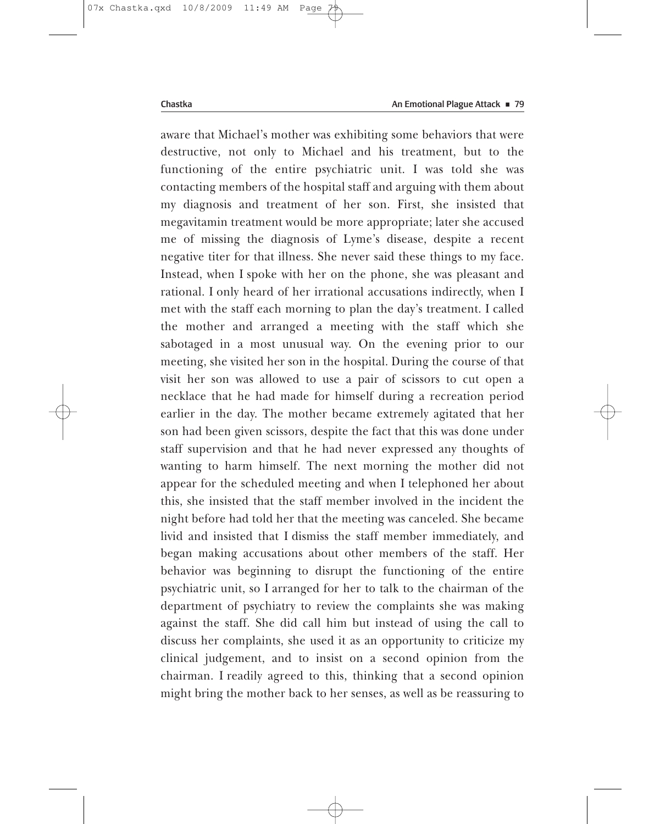aware that Michael's mother was exhibiting some behaviors that were destructive, not only to Michael and his treatment, but to the functioning of the entire psychiatric unit. I was told she was contacting members of the hospital staff and arguing with them about my diagnosis and treatment of her son. First, she insisted that megavitamin treatment would be more appropriate; later she accused me of missing the diagnosis of Lyme's disease, despite a recent negative titer for that illness. She never said these things to my face. Instead, when I spoke with her on the phone, she was pleasant and rational. I only heard of her irrational accusations indirectly, when I met with the staff each morning to plan the day's treatment. I called the mother and arranged a meeting with the staff which she sabotaged in a most unusual way. On the evening prior to our meeting, she visited her son in the hospital. During the course of that visit her son was allowed to use a pair of scissors to cut open a necklace that he had made for himself during a recreation period earlier in the day. The mother became extremely agitated that her son had been given scissors, despite the fact that this was done under staff supervision and that he had never expressed any thoughts of wanting to harm himself. The next morning the mother did not appear for the scheduled meeting and when I telephoned her about this, she insisted that the staff member involved in the incident the night before had told her that the meeting was canceled. She became livid and insisted that I dismiss the staff member immediately, and began making accusations about other members of the staff. Her behavior was beginning to disrupt the functioning of the entire psychiatric unit, so I arranged for her to talk to the chairman of the department of psychiatry to review the complaints she was making against the staff. She did call him but instead of using the call to discuss her complaints, she used it as an opportunity to criticize my clinical judgement, and to insist on a second opinion from the chairman. I readily agreed to this, thinking that a second opinion might bring the mother back to her senses, as well as be reassuring to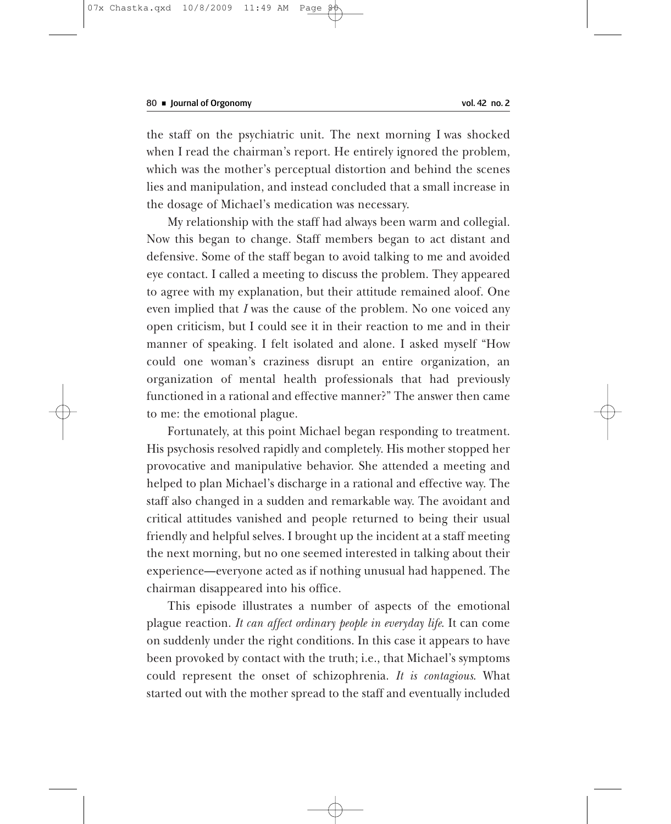the staff on the psychiatric unit. The next morning I was shocked when I read the chairman's report. He entirely ignored the problem, which was the mother's perceptual distortion and behind the scenes lies and manipulation, and instead concluded that a small increase in the dosage of Michael's medication was necessary.

My relationship with the staff had always been warm and collegial. Now this began to change. Staff members began to act distant and defensive. Some of the staff began to avoid talking to me and avoided eye contact. I called a meeting to discuss the problem. They appeared to agree with my explanation, but their attitude remained aloof. One even implied that *I* was the cause of the problem. No one voiced any open criticism, but I could see it in their reaction to me and in their manner of speaking. I felt isolated and alone. I asked myself "How could one woman's craziness disrupt an entire organization, an organization of mental health professionals that had previously functioned in a rational and effective manner?" The answer then came to me: the emotional plague.

Fortunately, at this point Michael began responding to treatment. His psychosis resolved rapidly and completely. His mother stopped her provocative and manipulative behavior. She attended a meeting and helped to plan Michael's discharge in a rational and effective way. The staff also changed in a sudden and remarkable way. The avoidant and critical attitudes vanished and people returned to being their usual friendly and helpful selves. I brought up the incident at a staff meeting the next morning, but no one seemed interested in talking about their experience—everyone acted as if nothing unusual had happened. The chairman disappeared into his office.

This episode illustrates a number of aspects of the emotional plague reaction. *It can affect ordinary people in everyday life*. It can come on suddenly under the right conditions. In this case it appears to have been provoked by contact with the truth; i.e., that Michael's symptoms could represent the onset of schizophrenia. *It is contagious*. What started out with the mother spread to the staff and eventually included